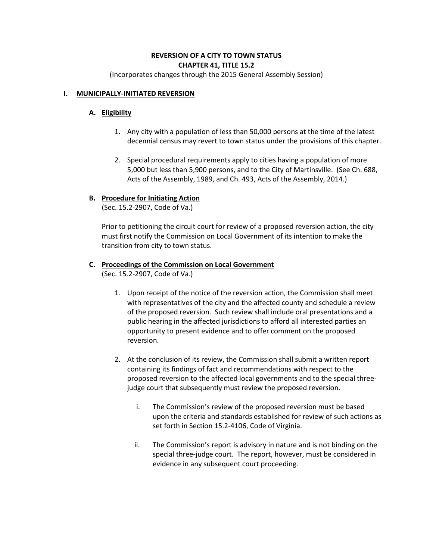# **REVERSION OF A CITY TO TOWN STATUS CHAPTER 41, TITLE 15.2**

(Incorporates changes through the 2015 General Assembly Session)

# **I. MUNICIPALLY-INITIATED REVERSION**

# **A. Eligibility**

- 1. Any city with a population of less than 50,000 persons at the time of the latest decennial census may revert to town status under the provisions of this chapter.
- 2. Special procedural requirements apply to cities having a population of more 5,000 but less than 5,900 persons, and to the City of Martinsville. (See Ch. 688, Acts of the Assembly, 1989, and Ch. 493, Acts of the Assembly, 2014.)

# **B. Procedure for Initiating Action**

(Sec. 15.2-2907, Code of Va.)

Prior to petitioning the circuit court for review of a proposed reversion action, the city must first notify the Commission on Local Government of its intention to make the transition from city to town status.

# **C. Proceedings of the Commission on Local Government**

(Sec. 15.2-2907, Code of Va.)

- 1. Upon receipt of the notice of the reversion action, the Commission shall meet with representatives of the city and the affected county and schedule a review of the proposed reversion. Such review shall include oral presentations and a public hearing in the affected jurisdictions to afford all interested parties an opportunity to present evidence and to offer comment on the proposed reversion.
- 2. At the conclusion of its review, the Commission shall submit a written report containing its findings of fact and recommendations with respect to the proposed reversion to the affected local governments and to the special threejudge court that subsequently must review the proposed reversion.
	- i. The Commission's review of the proposed reversion must be based upon the criteria and standards established for review of such actions as set forth in Section 15.2-4106, Code of Virginia.
	- ii. The Commission's report is advisory in nature and is not binding on the special three-judge court. The report, however, must be considered in evidence in any subsequent court proceeding.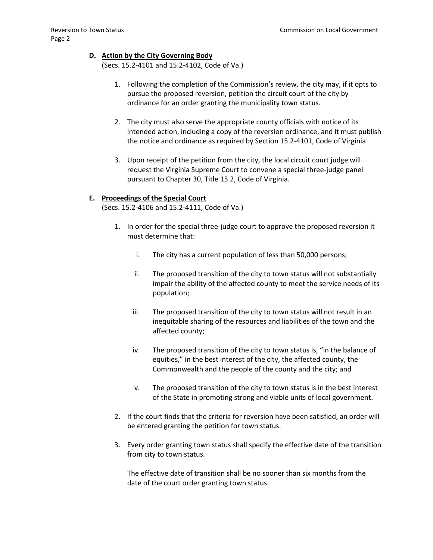### **D. Action by the City Governing Body**

(Secs. 15.2-4101 and 15.2-4102, Code of Va.)

- 1. Following the completion of the Commission's review, the city may, if it opts to pursue the proposed reversion, petition the circuit court of the city by ordinance for an order granting the municipality town status.
- 2. The city must also serve the appropriate county officials with notice of its intended action, including a copy of the reversion ordinance, and it must publish the notice and ordinance as required by Section 15.2-4101, Code of Virginia
- 3. Upon receipt of the petition from the city, the local circuit court judge will request the Virginia Supreme Court to convene a special three-judge panel pursuant to Chapter 30, Title 15.2, Code of Virginia.

#### **E. Proceedings of the Special Court**

(Secs. 15.2-4106 and 15.2-4111, Code of Va.)

- 1. In order for the special three-judge court to approve the proposed reversion it must determine that:
	- i. The city has a current population of less than 50,000 persons;
	- ii. The proposed transition of the city to town status will not substantially impair the ability of the affected county to meet the service needs of its population;
	- iii. The proposed transition of the city to town status will not result in an inequitable sharing of the resources and liabilities of the town and the affected county;
	- iv. The proposed transition of the city to town status is, "in the balance of equities," in the best interest of the city, the affected county, the Commonwealth and the people of the county and the city; and
	- v. The proposed transition of the city to town status is in the best interest of the State in promoting strong and viable units of local government.
- 2. If the court finds that the criteria for reversion have been satisfied, an order will be entered granting the petition for town status.
- 3. Every order granting town status shall specify the effective date of the transition from city to town status.

The effective date of transition shall be no sooner than six months from the date of the court order granting town status.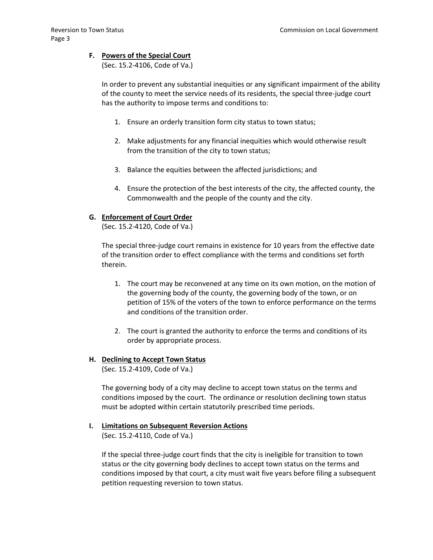### **F. Powers of the Special Court**

(Sec. 15.2-4106, Code of Va.)

In order to prevent any substantial inequities or any significant impairment of the ability of the county to meet the service needs of its residents, the special three-judge court has the authority to impose terms and conditions to:

- 1. Ensure an orderly transition form city status to town status;
- 2. Make adjustments for any financial inequities which would otherwise result from the transition of the city to town status;
- 3. Balance the equities between the affected jurisdictions; and
- 4. Ensure the protection of the best interests of the city, the affected county, the Commonwealth and the people of the county and the city.

#### **G. Enforcement of Court Order**

(Sec. 15.2-4120, Code of Va.)

The special three-judge court remains in existence for 10 years from the effective date of the transition order to effect compliance with the terms and conditions set forth therein.

- 1. The court may be reconvened at any time on its own motion, on the motion of the governing body of the county, the governing body of the town, or on petition of 15% of the voters of the town to enforce performance on the terms and conditions of the transition order.
- 2. The court is granted the authority to enforce the terms and conditions of its order by appropriate process.

#### **H. Declining to Accept Town Status**

(Sec. 15.2-4109, Code of Va.)

The governing body of a city may decline to accept town status on the terms and conditions imposed by the court. The ordinance or resolution declining town status must be adopted within certain statutorily prescribed time periods.

### **I. Limitations on Subsequent Reversion Actions** (Sec. 15.2-4110, Code of Va.)

If the special three-judge court finds that the city is ineligible for transition to town status or the city governing body declines to accept town status on the terms and conditions imposed by that court, a city must wait five years before filing a subsequent petition requesting reversion to town status.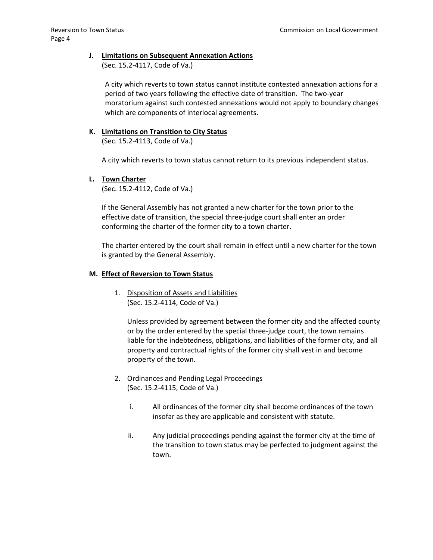### **J. Limitations on Subsequent Annexation Actions**

(Sec. 15.2-4117, Code of Va.)

A city which reverts to town status cannot institute contested annexation actions for a period of two years following the effective date of transition. The two-year moratorium against such contested annexations would not apply to boundary changes which are components of interlocal agreements.

# **K. Limitations on Transition to City Status**

(Sec. 15.2-4113, Code of Va.)

A city which reverts to town status cannot return to its previous independent status.

# **L. Town Charter**

(Sec. 15.2-4112, Code of Va.)

If the General Assembly has not granted a new charter for the town prior to the effective date of transition, the special three-judge court shall enter an order conforming the charter of the former city to a town charter.

The charter entered by the court shall remain in effect until a new charter for the town is granted by the General Assembly.

# **M. Effect of Reversion to Town Status**

1. Disposition of Assets and Liabilities (Sec. 15.2-4114, Code of Va.)

> Unless provided by agreement between the former city and the affected county or by the order entered by the special three-judge court, the town remains liable for the indebtedness, obligations, and liabilities of the former city, and all property and contractual rights of the former city shall vest in and become property of the town.

- 2. Ordinances and Pending Legal Proceedings (Sec. 15.2-4115, Code of Va.)
	- i. All ordinances of the former city shall become ordinances of the town insofar as they are applicable and consistent with statute.
	- ii. Any judicial proceedings pending against the former city at the time of the transition to town status may be perfected to judgment against the town.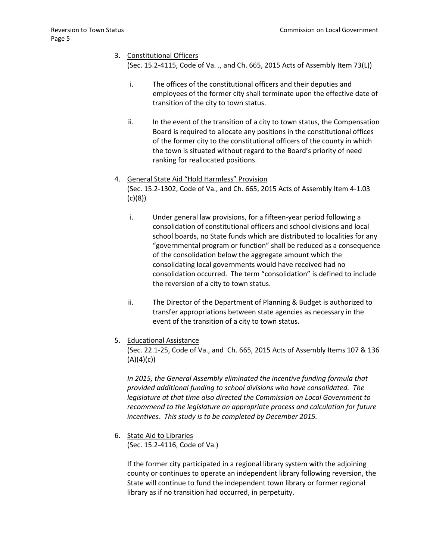# 3. Constitutional Officers

(Sec. 15.2-4115, Code of Va. ., and Ch. 665, 2015 Acts of Assembly Item 73(L))

- i. The offices of the constitutional officers and their deputies and employees of the former city shall terminate upon the effective date of transition of the city to town status.
- ii. In the event of the transition of a city to town status, the Compensation Board is required to allocate any positions in the constitutional offices of the former city to the constitutional officers of the county in which the town is situated without regard to the Board's priority of need ranking for reallocated positions.
- 4. General State Aid "Hold Harmless" Provision (Sec. 15.2-1302, Code of Va., and Ch. 665, 2015 Acts of Assembly Item 4-1.03 (c)(8))
	- i. Under general law provisions, for a fifteen-year period following a consolidation of constitutional officers and school divisions and local school boards, no State funds which are distributed to localities for any "governmental program or function" shall be reduced as a consequence of the consolidation below the aggregate amount which the consolidating local governments would have received had no consolidation occurred. The term "consolidation" is defined to include the reversion of a city to town status.
	- ii. The Director of the Department of Planning & Budget is authorized to transfer appropriations between state agencies as necessary in the event of the transition of a city to town status.
- 5. Educational Assistance

(Sec. 22.1-25, Code of Va., and Ch. 665, 2015 Acts of Assembly Items 107 & 136  $(A)(4)(c)$ 

*In 2015, the General Assembly eliminated the incentive funding formula that provided additional funding to school divisions who have consolidated. The legislature at that time also directed the Commission on Local Government to recommend to the legislature an appropriate process and calculation for future incentives. This study is to be completed by December 2015.*

6. State Aid to Libraries

(Sec. 15.2-4116, Code of Va.)

If the former city participated in a regional library system with the adjoining county or continues to operate an independent library following reversion, the State will continue to fund the independent town library or former regional library as if no transition had occurred, in perpetuity.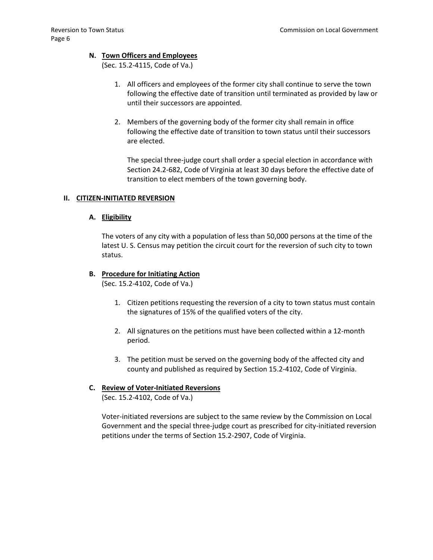### **N. Town Officers and Employees**

(Sec. 15.2-4115, Code of Va.)

- 1. All officers and employees of the former city shall continue to serve the town following the effective date of transition until terminated as provided by law or until their successors are appointed.
- 2. Members of the governing body of the former city shall remain in office following the effective date of transition to town status until their successors are elected.

The special three-judge court shall order a special election in accordance with Section 24.2-682, Code of Virginia at least 30 days before the effective date of transition to elect members of the town governing body.

#### **II. CITIZEN-INITIATED REVERSION**

#### **A. Eligibility**

The voters of any city with a population of less than 50,000 persons at the time of the latest U. S. Census may petition the circuit court for the reversion of such city to town status.

#### **B. Procedure for Initiating Action**

(Sec. 15.2-4102, Code of Va.)

- 1. Citizen petitions requesting the reversion of a city to town status must contain the signatures of 15% of the qualified voters of the city.
- 2. All signatures on the petitions must have been collected within a 12-month period.
- 3. The petition must be served on the governing body of the affected city and county and published as required by Section 15.2-4102, Code of Virginia.

# **C. Review of Voter-Initiated Reversions**

(Sec. 15.2-4102, Code of Va.)

Voter-initiated reversions are subject to the same review by the Commission on Local Government and the special three-judge court as prescribed for city-initiated reversion petitions under the terms of Section 15.2-2907, Code of Virginia.